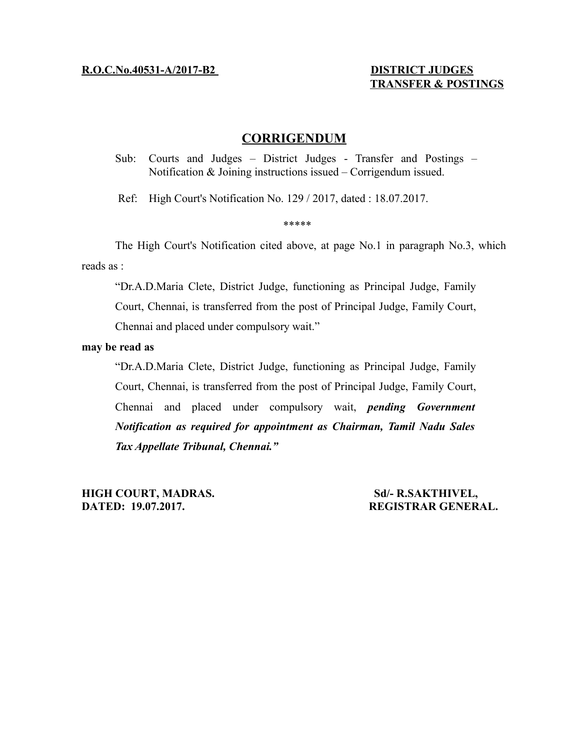# **TRANSFER & POSTINGS**

# **CORRIGENDUM**

Sub: Courts and Judges – District Judges - Transfer and Postings – Notification & Joining instructions issued – Corrigendum issued.

Ref: High Court's Notification No. 129 / 2017, dated : 18.07.2017.

#### \*\*\*\*\*

The High Court's Notification cited above, at page No.1 in paragraph No.3, which reads as :

"Dr.A.D.Maria Clete, District Judge, functioning as Principal Judge, Family Court, Chennai, is transferred from the post of Principal Judge, Family Court, Chennai and placed under compulsory wait."

## **may be read as**

"Dr.A.D.Maria Clete, District Judge, functioning as Principal Judge, Family Court, Chennai, is transferred from the post of Principal Judge, Family Court, Chennai and placed under compulsory wait, *pending Government Notification as required for appointment as Chairman, Tamil Nadu Sales Tax Appellate Tribunal, Chennai."*

**HIGH COURT, MADRAS.** Sd/- R.SAKTHIVEL, **DATED: 19.07.2017. REGISTRAR GENERAL.**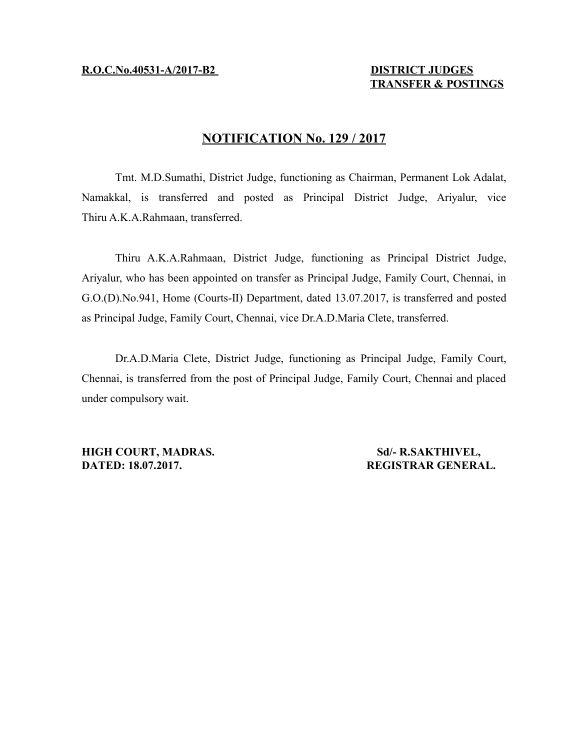# **TRANSFER & POSTINGS**

# **NOTIFICATION No. 129 / 2017**

Tmt. M.D.Sumathi, District Judge, functioning as Chairman, Permanent Lok Adalat, Namakkal, is transferred and posted as Principal District Judge, Ariyalur, vice Thiru A.K.A.Rahmaan, transferred.

Thiru A.K.A.Rahmaan, District Judge, functioning as Principal District Judge, Ariyalur, who has been appointed on transfer as Principal Judge, Family Court, Chennai, in G.O.(D).No.941, Home (Courts-II) Department, dated 13.07.2017, is transferred and posted as Principal Judge, Family Court, Chennai, vice Dr.A.D.Maria Clete, transferred.

Dr.A.D.Maria Clete, District Judge, functioning as Principal Judge, Family Court, Chennai, is transferred from the post of Principal Judge, Family Court, Chennai and placed under compulsory wait.

**HIGH COURT, MADRAS.** Sd/- R.SAKTHIVEL, **DATED: 18.07.2017. REGISTRAR GENERAL.**